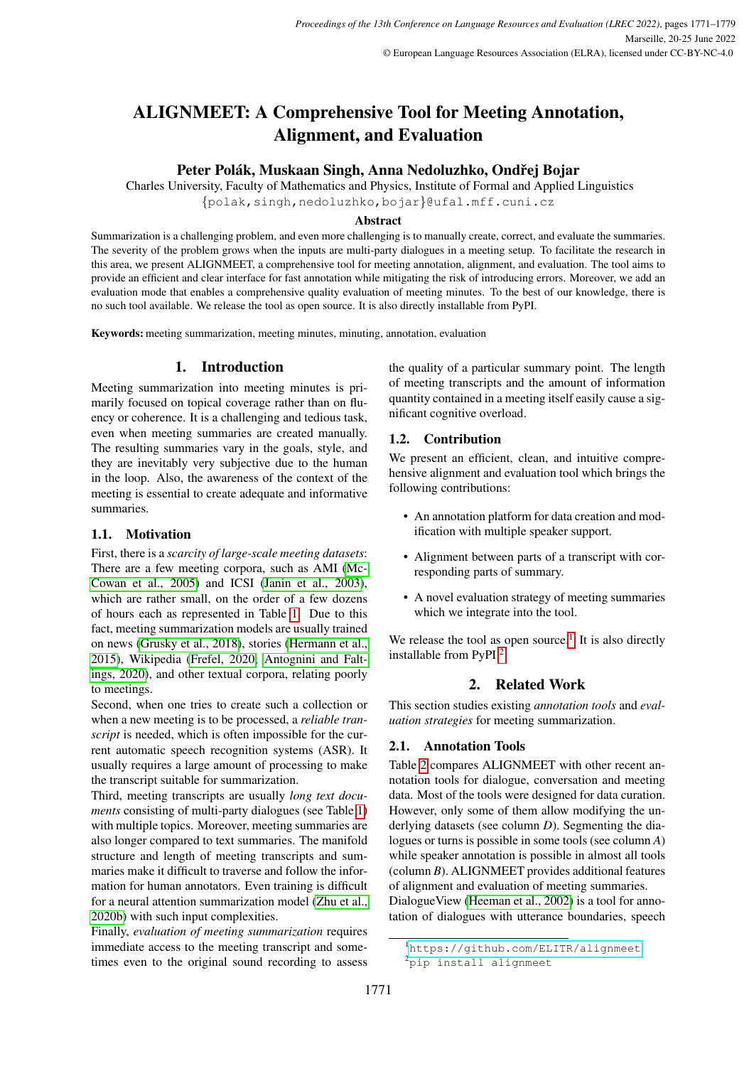# ALIGNMEET: A Comprehensive Tool for Meeting Annotation, Alignment, and Evaluation

Peter Polák, Muskaan Singh, Anna Nedoluzhko, Ondřej Bojar

Charles University, Faculty of Mathematics and Physics, Institute of Formal and Applied Linguistics

{polak,singh,nedoluzhko,bojar}@ufal.mff.cuni.cz

### Abstract

Summarization is a challenging problem, and even more challenging is to manually create, correct, and evaluate the summaries. The severity of the problem grows when the inputs are multi-party dialogues in a meeting setup. To facilitate the research in this area, we present ALIGNMEET, a comprehensive tool for meeting annotation, alignment, and evaluation. The tool aims to provide an efficient and clear interface for fast annotation while mitigating the risk of introducing errors. Moreover, we add an evaluation mode that enables a comprehensive quality evaluation of meeting minutes. To the best of our knowledge, there is no such tool available. We release the tool as open source. It is also directly installable from PyPI.

Keywords: meeting summarization, meeting minutes, minuting, annotation, evaluation

# 1. Introduction

Meeting summarization into meeting minutes is primarily focused on topical coverage rather than on fluency or coherence. It is a challenging and tedious task, even when meeting summaries are created manually. The resulting summaries vary in the goals, style, and they are inevitably very subjective due to the human in the loop. Also, the awareness of the context of the meeting is essential to create adequate and informative summaries.

# 1.1. Motivation

First, there is a *scarcity of large-scale meeting datasets*: There are a few meeting corpora, such as AMI [\(Mc-](#page-7-0)[Cowan et al., 2005\)](#page-7-0) and ICSI [\(Janin et al., 2003\)](#page-6-0), which are rather small, on the order of a few dozens of hours each as represented in Table [1.](#page-1-0) Due to this fact, meeting summarization models are usually trained on news [\(Grusky et al., 2018\)](#page-6-1), stories [\(Hermann et al.,](#page-6-2) [2015\)](#page-6-2), Wikipedia [\(Frefel, 2020;](#page-6-3) [Antognini and Falt](#page-5-0)[ings, 2020\)](#page-5-0), and other textual corpora, relating poorly to meetings.

Second, when one tries to create such a collection or when a new meeting is to be processed, a *reliable transcript* is needed, which is often impossible for the current automatic speech recognition systems (ASR). It usually requires a large amount of processing to make the transcript suitable for summarization.

Third, meeting transcripts are usually *long text documents* consisting of multi-party dialogues (see Table [1\)](#page-1-0) with multiple topics. Moreover, meeting summaries are also longer compared to text summaries. The manifold structure and length of meeting transcripts and summaries make it difficult to traverse and follow the information for human annotators. Even training is difficult for a neural attention summarization model [\(Zhu et al.,](#page-8-0) [2020b\)](#page-8-0) with such input complexities.

Finally, *evaluation of meeting summarization* requires immediate access to the meeting transcript and sometimes even to the original sound recording to assess the quality of a particular summary point. The length of meeting transcripts and the amount of information quantity contained in a meeting itself easily cause a significant cognitive overload.

# 1.2. Contribution

We present an efficient, clean, and intuitive comprehensive alignment and evaluation tool which brings the following contributions:

- An annotation platform for data creation and modification with multiple speaker support.
- Alignment between parts of a transcript with corresponding parts of summary.
- A novel evaluation strategy of meeting summaries which we integrate into the tool.

We release the tool as open source.<sup>[1](#page-0-0)</sup> It is also directly installable from PyPI.[2](#page-0-1)

# 2. Related Work

This section studies existing *annotation tools* and *evaluation strategies* for meeting summarization.

# <span id="page-0-2"></span>2.1. Annotation Tools

Table [2](#page-1-1) compares ALIGNMEET with other recent annotation tools for dialogue, conversation and meeting data. Most of the tools were designed for data curation. However, only some of them allow modifying the underlying datasets (see column *D*). Segmenting the dialogues or turns is possible in some tools (see column *A*) while speaker annotation is possible in almost all tools (column *B*). ALIGNMEET provides additional features of alignment and evaluation of meeting summaries. DialogueView [\(Heeman et al., 2002\)](#page-6-4) is a tool for annotation of dialogues with utterance boundaries, speech

<span id="page-0-0"></span><sup>1</sup><https://github.com/ELITR/alignmeet>

<span id="page-0-1"></span><sup>&</sup>lt;sup>2</sup>pip install alignmeet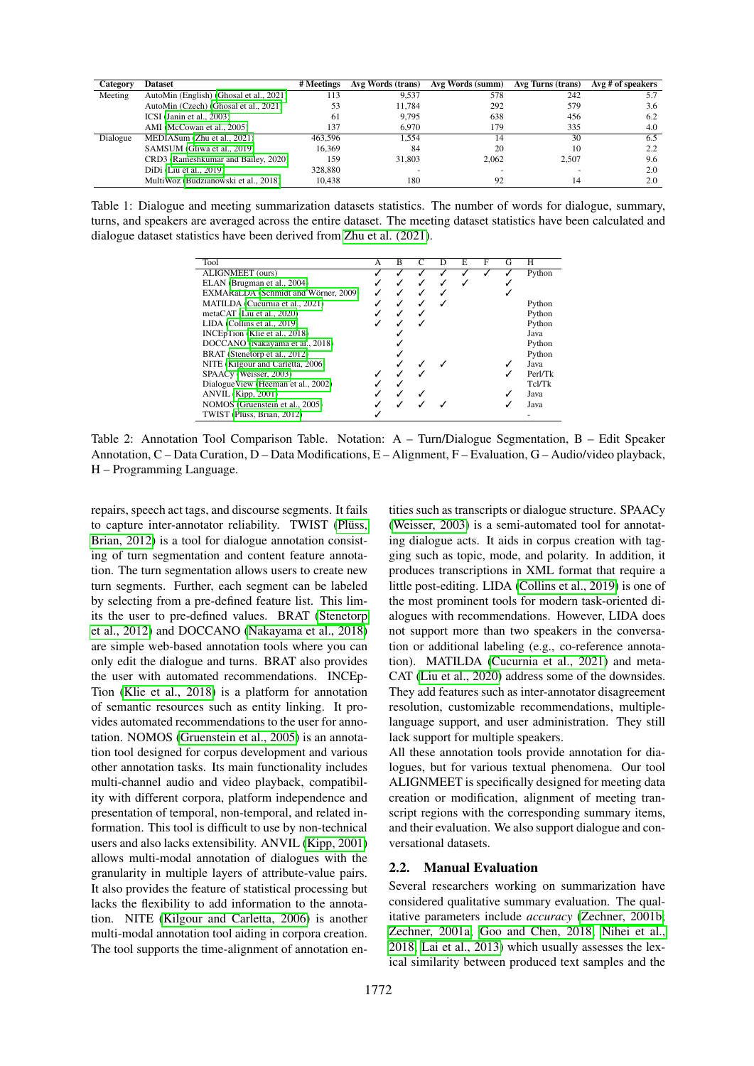| Category | <b>Dataset</b>                          | # Meetings | Avg Words (trans) | Avg Words (summ) | Avg Turns (trans) | Avg # of speakers |
|----------|-----------------------------------------|------------|-------------------|------------------|-------------------|-------------------|
| Meeting  | AutoMin (English) (Ghosal et al., 2021) | 113        | 9.537             | 578              | 242               | 5.7               |
|          | AutoMin (Czech) (Ghosal et al., 2021)   | 53         | 11.784            | 292              | 579               | 3.6               |
|          | ICSI (Janin et al., 2003)               | 61         | 9.795             | 638              | 456               | 6.2               |
|          | AMI (McCowan et al., 2005)              | 137        | 6.970             | 179              | 335               | 4.0               |
| Dialogue | MEDIASum (Zhu et al., 2021)             | 463.596    | 1.554             | 14               | 30                | 6.5               |
|          | SAMSUM (Gliwa et al., 2019)             | 16.369     | 84                | 20               | 10                | 2.2               |
|          | CRD3 (Rameshkumar and Bailey, 2020)     | 159        | 31,803            | 2.062            | 2.507             | 9.6               |
|          | $DiDi$ (Liu et al., 2019)               | 328,880    |                   |                  |                   | 2.0               |
|          | MultiWoz (Budzianowski et al., 2018)    | 10.438     | 180               | 92               | 14                | 2.0               |

<span id="page-1-0"></span>Table 1: Dialogue and meeting summarization datasets statistics. The number of words for dialogue, summary, turns, and speakers are averaged across the entire dataset. The meeting dataset statistics have been calculated and dialogue dataset statistics have been derived from [Zhu et al. \(2021\)](#page-8-1).

| Tool                                 | A | B | C | E | F | G | н       |
|--------------------------------------|---|---|---|---|---|---|---------|
| ALIGNMEET (ours)                     |   |   |   |   |   |   | Python  |
| ELAN (Brugman et al., 2004)          |   |   | ✓ |   |   |   |         |
| EXMARaLDA (Schmidt and Wörner, 2009) |   |   |   |   |   |   |         |
| MATILDA (Cucurnia et al., 2021)      |   |   |   |   |   |   | Python  |
| metaCAT (Liu et al., 2020)           |   |   |   |   |   |   | Python  |
| LIDA (Collins et al., 2019)          |   |   |   |   |   |   | Python  |
| INCEpTion (Klie et al., 2018)        |   |   |   |   |   |   | Java    |
| DOCCANO (Nakayama et al., 2018)      |   |   |   |   |   |   | Python  |
| BRAT (Stenetorp et al., 2012)        |   |   |   |   |   |   | Python  |
| NITE (Kilgour and Carletta, 2006)    |   |   |   |   |   |   | Java    |
| SPAACy (Weisser, 2003)               |   |   |   |   |   |   | Perl/Tk |
| Dialogue View (Heeman et al., 2002)  |   |   |   |   |   |   | Tcl/Tk  |
| ANVIL (Kipp, 2001)                   |   |   |   |   |   |   | Java    |
| NOMOS (Gruenstein et al., 2005)      |   |   |   |   |   |   | Java    |
| TWIST (Plüss, Brian, 2012)           |   |   |   |   |   |   |         |

<span id="page-1-1"></span>Table 2: Annotation Tool Comparison Table. Notation: A – Turn/Dialogue Segmentation, B – Edit Speaker Annotation, C – Data Curation, D – Data Modifications, E – Alignment, F – Evaluation, G – Audio/video playback, H – Programming Language.

repairs, speech act tags, and discourse segments. It fails to capture inter-annotator reliability. TWIST (Plüss, [Brian, 2012\)](#page-7-7) is a tool for dialogue annotation consisting of turn segmentation and content feature annotation. The turn segmentation allows users to create new turn segments. Further, each segment can be labeled by selecting from a pre-defined feature list. This limits the user to pre-defined values. BRAT [\(Stenetorp](#page-7-6) [et al., 2012\)](#page-7-6) and DOCCANO [\(Nakayama et al., 2018\)](#page-7-5) are simple web-based annotation tools where you can only edit the dialogue and turns. BRAT also provides the user with automated recommendations. INCEp-Tion [\(Klie et al., 2018\)](#page-6-7) is a platform for annotation of semantic resources such as entity linking. It provides automated recommendations to the user for annotation. NOMOS [\(Gruenstein et al., 2005\)](#page-6-10) is an annotation tool designed for corpus development and various other annotation tasks. Its main functionality includes multi-channel audio and video playback, compatibility with different corpora, platform independence and presentation of temporal, non-temporal, and related information. This tool is difficult to use by non-technical users and also lacks extensibility. ANVIL [\(Kipp, 2001\)](#page-6-9) allows multi-modal annotation of dialogues with the granularity in multiple layers of attribute-value pairs. It also provides the feature of statistical processing but lacks the flexibility to add information to the annotation. NITE [\(Kilgour and Carletta, 2006\)](#page-6-8) is another multi-modal annotation tool aiding in corpora creation. The tool supports the time-alignment of annotation entities such as transcripts or dialogue structure. SPAACy [\(Weisser, 2003\)](#page-8-2) is a semi-automated tool for annotating dialogue acts. It aids in corpus creation with tagging such as topic, mode, and polarity. In addition, it produces transcriptions in XML format that require a little post-editing. LIDA [\(Collins et al., 2019\)](#page-5-4) is one of the most prominent tools for modern task-oriented dialogues with recommendations. However, LIDA does not support more than two speakers in the conversation or additional labeling (e.g., co-reference annotation). MATILDA [\(Cucurnia et al., 2021\)](#page-5-3) and meta-CAT [\(Liu et al., 2020\)](#page-7-4) address some of the downsides. They add features such as inter-annotator disagreement resolution, customizable recommendations, multiplelanguage support, and user administration. They still lack support for multiple speakers.

All these annotation tools provide annotation for dialogues, but for various textual phenomena. Our tool ALIGNMEET is specifically designed for meeting data creation or modification, alignment of meeting transcript regions with the corresponding summary items, and their evaluation. We also support dialogue and conversational datasets.

# <span id="page-1-2"></span>2.2. Manual Evaluation

Several researchers working on summarization have considered qualitative summary evaluation. The qualitative parameters include *accuracy* [\(Zechner, 2001b;](#page-8-3) [Zechner, 2001a;](#page-8-4) [Goo and Chen, 2018;](#page-6-11) [Nihei et al.,](#page-7-8) [2018;](#page-7-8) [Lai et al., 2013\)](#page-6-12) which usually assesses the lexical similarity between produced text samples and the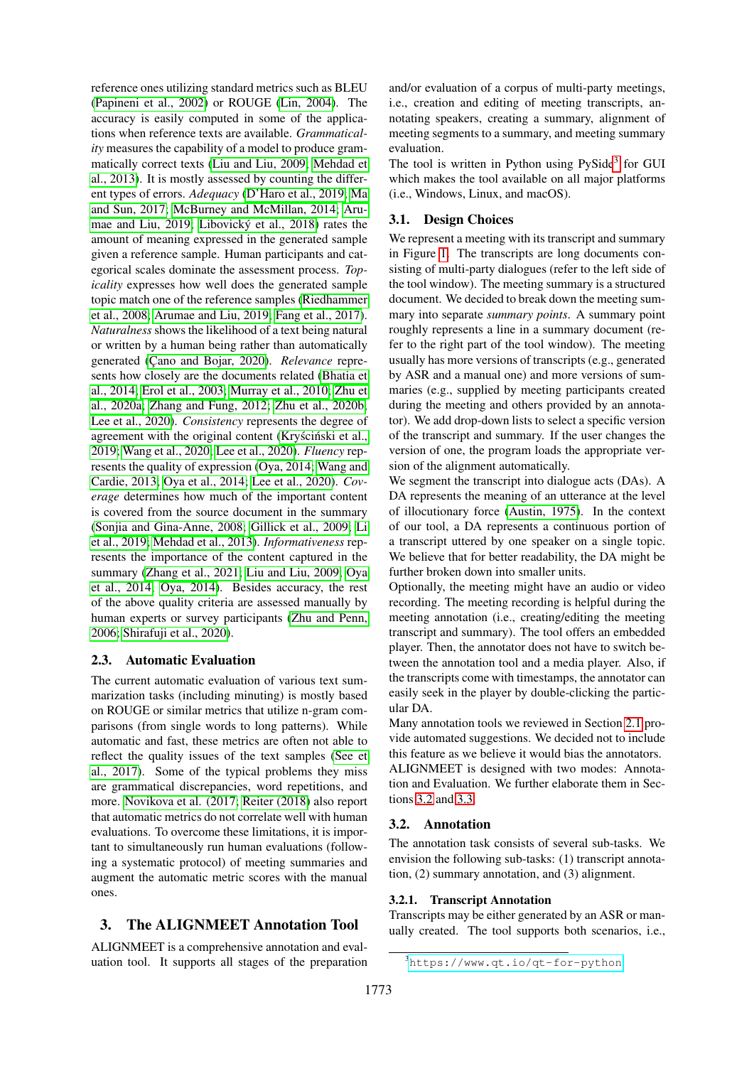reference ones utilizing standard metrics such as BLEU [\(Papineni et al., 2002\)](#page-7-9) or ROUGE [\(Lin, 2004\)](#page-6-13). The accuracy is easily computed in some of the applications when reference texts are available. *Grammaticality* measures the capability of a model to produce grammatically correct texts [\(Liu and Liu, 2009;](#page-6-14) [Mehdad et](#page-7-10) [al., 2013\)](#page-7-10). It is mostly assessed by counting the different types of errors. *Adequacy* [\(D'Haro et al., 2019;](#page-6-15) [Ma](#page-7-11) [and Sun, 2017;](#page-7-11) [McBurney and McMillan, 2014;](#page-7-12) [Aru](#page-5-5)[mae and Liu, 2019;](#page-5-5) Libovický et al., 2018) rates the amount of meaning expressed in the generated sample given a reference sample. Human participants and categorical scales dominate the assessment process. *Topicality* expresses how well does the generated sample topic match one of the reference samples [\(Riedhammer](#page-7-13) [et al., 2008;](#page-7-13) [Arumae and Liu, 2019;](#page-5-5) [Fang et al., 2017\)](#page-6-17). *Naturalness* shows the likelihood of a text being natural or written by a human being rather than automatically generated (Çano and Bojar, 2020). *Relevance* represents how closely are the documents related [\(Bhatia et](#page-5-7) [al., 2014;](#page-5-7) [Erol et al., 2003;](#page-6-18) [Murray et al., 2010;](#page-7-14) [Zhu et](#page-8-5) [al., 2020a;](#page-8-5) [Zhang and Fung, 2012;](#page-8-6) [Zhu et al., 2020b;](#page-8-0) [Lee et al., 2020\)](#page-6-19). *Consistency* represents the degree of agreement with the original content (Kryściński et al., [2019;](#page-6-20) [Wang et al., 2020;](#page-8-7) [Lee et al., 2020\)](#page-6-19). *Fluency* represents the quality of expression [\(Oya, 2014;](#page-7-15) [Wang and](#page-7-16) [Cardie, 2013;](#page-7-16) [Oya et al., 2014;](#page-7-17) [Lee et al., 2020\)](#page-6-19). *Coverage* determines how much of the important content is covered from the source document in the summary [\(Sonjia and Gina-Anne, 2008;](#page-7-18) [Gillick et al., 2009;](#page-6-21) [Li](#page-6-22) [et al., 2019;](#page-6-22) [Mehdad et al., 2013\)](#page-7-10). *Informativeness* represents the importance of the content captured in the summary [\(Zhang et al., 2021;](#page-8-8) [Liu and Liu, 2009;](#page-6-14) [Oya](#page-7-17) [et al., 2014;](#page-7-17) [Oya, 2014\)](#page-7-15). Besides accuracy, the rest of the above quality criteria are assessed manually by human experts or survey participants [\(Zhu and Penn,](#page-8-9) [2006;](#page-8-9) [Shirafuji et al., 2020\)](#page-7-19).

### <span id="page-2-2"></span>2.3. Automatic Evaluation

The current automatic evaluation of various text summarization tasks (including minuting) is mostly based on ROUGE or similar metrics that utilize n-gram comparisons (from single words to long patterns). While automatic and fast, these metrics are often not able to reflect the quality issues of the text samples [\(See et](#page-7-20) [al., 2017\)](#page-7-20). Some of the typical problems they miss are grammatical discrepancies, word repetitions, and more. [Novikova et al. \(2017;](#page-7-21) [Reiter \(2018\)](#page-7-22) also report that automatic metrics do not correlate well with human evaluations. To overcome these limitations, it is important to simultaneously run human evaluations (following a systematic protocol) of meeting summaries and augment the automatic metric scores with the manual ones.

# 3. The ALIGNMEET Annotation Tool

ALIGNMEET is a comprehensive annotation and evaluation tool. It supports all stages of the preparation and/or evaluation of a corpus of multi-party meetings, i.e., creation and editing of meeting transcripts, annotating speakers, creating a summary, alignment of meeting segments to a summary, and meeting summary evaluation.

The tool is written in Python using PySide<sup>[3](#page-2-0)</sup> for GUI which makes the tool available on all major platforms (i.e., Windows, Linux, and macOS).

#### 3.1. Design Choices

We represent a meeting with its transcript and summary in Figure [1.](#page-3-0) The transcripts are long documents consisting of multi-party dialogues (refer to the left side of the tool window). The meeting summary is a structured document. We decided to break down the meeting summary into separate *summary points*. A summary point roughly represents a line in a summary document (refer to the right part of the tool window). The meeting usually has more versions of transcripts (e.g., generated by ASR and a manual one) and more versions of summaries (e.g., supplied by meeting participants created during the meeting and others provided by an annotator). We add drop-down lists to select a specific version of the transcript and summary. If the user changes the version of one, the program loads the appropriate version of the alignment automatically.

We segment the transcript into dialogue acts (DAs). A DA represents the meaning of an utterance at the level of illocutionary force [\(Austin, 1975\)](#page-5-8). In the context of our tool, a DA represents a continuous portion of a transcript uttered by one speaker on a single topic. We believe that for better readability, the DA might be further broken down into smaller units.

Optionally, the meeting might have an audio or video recording. The meeting recording is helpful during the meeting annotation (i.e., creating/editing the meeting transcript and summary). The tool offers an embedded player. Then, the annotator does not have to switch between the annotation tool and a media player. Also, if the transcripts come with timestamps, the annotator can easily seek in the player by double-clicking the particular DA.

Many annotation tools we reviewed in Section [2.1](#page-0-2) provide automated suggestions. We decided not to include this feature as we believe it would bias the annotators. ALIGNMEET is designed with two modes: Annotation and Evaluation. We further elaborate them in Sections [3.2](#page-2-1) and [3.3.](#page-4-0)

### <span id="page-2-1"></span>3.2. Annotation

The annotation task consists of several sub-tasks. We envision the following sub-tasks: (1) transcript annotation, (2) summary annotation, and (3) alignment.

#### 3.2.1. Transcript Annotation

Transcripts may be either generated by an ASR or manually created. The tool supports both scenarios, i.e.,

<span id="page-2-0"></span><sup>3</sup><https://www.qt.io/qt-for-python>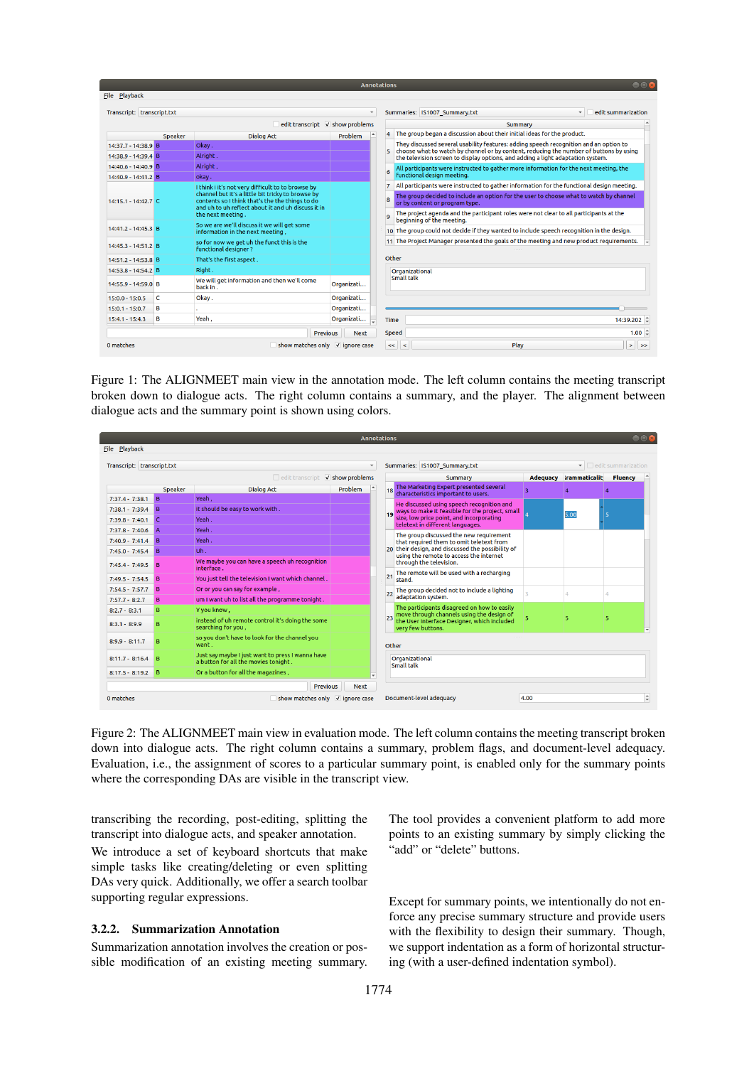|                            |         |                                                                                                                                                                                 | <b>Annotations</b> |          | $\bullet$ $\bullet$                                                                                                                                                       |
|----------------------------|---------|---------------------------------------------------------------------------------------------------------------------------------------------------------------------------------|--------------------|----------|---------------------------------------------------------------------------------------------------------------------------------------------------------------------------|
| <b>File Playback</b>       |         |                                                                                                                                                                                 |                    |          |                                                                                                                                                                           |
| Transcript: transcript.txt |         |                                                                                                                                                                                 | $\mathbf{v}$       |          | Summaries: IS1007 Summary.txt<br>edit summarization<br>$\blacktriangledown$                                                                                               |
|                            |         | edit transcript V show problems                                                                                                                                                 |                    |          | Summary                                                                                                                                                                   |
|                            | Speaker | <b>Dialog Act</b>                                                                                                                                                               | Problem            |          | The group began a discussion about their initial ideas for the product.                                                                                                   |
| 14:37.7 - 14:38.9 B        |         | Okav.                                                                                                                                                                           |                    |          | They discussed several usability features: adding speech recognition and an option to                                                                                     |
| 14:38.9 - 14:39.4 B        |         | Alright.                                                                                                                                                                        |                    | 5.       | choose what to watch by channel or by content, reducing the number of buttons by using<br>the television screen to display options, and adding a light adaptation system. |
| 14:40.6 - 14:40.9 B        |         | Alright,                                                                                                                                                                        |                    | 6        | All participants were instructed to gather more information for the next meeting, the                                                                                     |
| 14:40.9 - 14:41.2 B        |         | okay.                                                                                                                                                                           |                    |          | functional design meeting.                                                                                                                                                |
|                            |         | I think i it's not very difficult to to browse by                                                                                                                               |                    | 7        | All participants were instructed to gather information for the functional design meeting.                                                                                 |
| $14:15.1 - 14:42.7$ C      |         | channel but it's a little bit tricky to browse by<br>contents so I think that's the the things to do<br>and uh to uh reflect about it and uh discuss it in<br>the next meeting. |                    | <b>B</b> | The group decided to include an option for the user to choose what to watch by channel<br>or by content or program type.                                                  |
|                            |         |                                                                                                                                                                                 |                    | q        | The project agenda and the participant roles were not clear to all participants at the<br>beginning of the meeting.                                                       |
| 14:41.2 - 14:45.3 B        |         | So we are we'll discuss it we will get some<br>information in the next meeting.                                                                                                 |                    |          | 10 The group could not decide if they wanted to include speech recognition in the design.                                                                                 |
| 14:45.3 - 14:51.2 B        |         | so for now we get uh the funct this is the<br><b>functional designer?</b>                                                                                                       |                    |          | 11 The Project Manager presented the goals of the meeting and new product requirements. $\overline{\phantom{a}}$                                                          |
| 14:51.2 - 14:53.8 B        |         | That's the first aspect.                                                                                                                                                        |                    |          | Other                                                                                                                                                                     |
| 14:53.8 - 14:54.2 B        |         | Right.                                                                                                                                                                          |                    |          | Organizational                                                                                                                                                            |
| 14:55.9 - 14:59.0 B        |         | We will get information and then we'll come<br>back in.                                                                                                                         | Organizati         |          | Small talk                                                                                                                                                                |
| $15:0.0 - 15:0.5$          | c       | Okav.                                                                                                                                                                           | Organizati         |          |                                                                                                                                                                           |
| $15:0.1 - 15:0.7$          | в       |                                                                                                                                                                                 | Organizati         |          |                                                                                                                                                                           |
| $15:4.1 - 15:4.3$          | в       | Yeah.                                                                                                                                                                           | Organizati         |          | 14:39.202 ≑<br>Time                                                                                                                                                       |
|                            |         | <b>Previous</b>                                                                                                                                                                 | <b>Next</b>        |          | $1.00 \div$<br>Speed                                                                                                                                                      |
| 0 matches                  |         | $\Box$ show matches only $\lor$ ignore case                                                                                                                                     |                    |          | Play<br><<<br>$\prec$<br>$\geq$<br>$\rightarrow$                                                                                                                          |

<span id="page-3-0"></span>Figure 1: The ALIGNMEET main view in the annotation mode. The left column contains the meeting transcript broken down to dialogue acts. The right column contains a summary, and the player. The alignment between dialogue acts and the summary point is shown using colors.

| $\bigcirc$<br><b>Annotations</b>                                                                    |                |                                                                                          |             |    |                              |                                                                                           |      |                        |                |  |
|-----------------------------------------------------------------------------------------------------|----------------|------------------------------------------------------------------------------------------|-------------|----|------------------------------|-------------------------------------------------------------------------------------------|------|------------------------|----------------|--|
| <b>File Playback</b>                                                                                |                |                                                                                          |             |    |                              |                                                                                           |      |                        |                |  |
| Transcript: transcript.txt<br>Summaries: IS1007 Summary.txt<br>• edit summarization<br>$\mathbf{v}$ |                |                                                                                          |             |    |                              |                                                                                           |      |                        |                |  |
| edit transcript <b>v</b> show problems                                                              |                |                                                                                          |             |    |                              | Summary                                                                                   |      | Adequacy irammaticalit | <b>Fluency</b> |  |
|                                                                                                     | Speaker        | <b>Dialog Act</b>                                                                        | Problem     |    |                              | The Marketing Expert presented several<br>characteristics important to users.             | в    |                        |                |  |
| $7:37.4 - 7:38.1$                                                                                   | B              | Yeah.                                                                                    |             |    |                              | He discussed using speech recognition and                                                 |      |                        |                |  |
| $7:38.1 - 7:39.4$                                                                                   | $\overline{B}$ | it should be easy to work with.                                                          |             |    |                              | ways to make it feasible for the project, small                                           |      | 5.00                   |                |  |
| $7:39.8 - 7:40.1$                                                                                   | $\epsilon$     | Yeah.                                                                                    |             |    |                              | size, low price point, and incorporating<br>teletext in different languages.              |      |                        |                |  |
| $7:37.8 - 7:40.6$                                                                                   |                | Yeah.                                                                                    |             |    |                              | The group discussed the new requirement                                                   |      |                        |                |  |
| $7:40.9 - 7:41.4$                                                                                   | $\overline{B}$ | Yeah.                                                                                    |             |    |                              | that required them to omit teletext from                                                  |      |                        |                |  |
| $7:45.0 - 7:45.4$                                                                                   | $\overline{B}$ | Uh.                                                                                      |             |    |                              | their design, and discussed the possibility of<br>using the remote to access the internet |      |                        |                |  |
| $7:45.4 - 7:49.5$                                                                                   | <b>B</b>       | We maybe you can have a speech uh recognition<br>interface.                              |             |    |                              | through the television.                                                                   |      |                        |                |  |
| $7:49.5 - 7:54.5$                                                                                   | <b>B</b>       | You just tell the television I want which channel.                                       |             | 21 |                              | The remote will be used with a recharging<br>stand.                                       |      |                        |                |  |
| $7:54.5 - 7:57.7$                                                                                   | B              | Or or you can say for example,                                                           |             |    |                              | The group decided not to include a lighting                                               |      |                        |                |  |
| $7:57.7 - 8:2.7$                                                                                    | в              | um I want uh to list all the programme tonight.                                          |             |    |                              | adaptation system.                                                                        |      |                        |                |  |
| $8:2.7 - 8:3.1$                                                                                     | в              | Y you know.                                                                              |             |    |                              | The participants disagreed on how to easily<br>move through channels using the design of  |      |                        |                |  |
| $8:3.1 - 8:9.9$                                                                                     |                | instead of uh remote control it's doing the some<br>searching for you,                   |             |    |                              | the User Interface Designer, which included<br>very few buttons.                          | 5    | 5                      | 5.             |  |
| $8:9.9 - 8:11.7$                                                                                    |                | so you don't have to look for the channel you<br>want.                                   |             |    | Other                        |                                                                                           |      |                        |                |  |
| $8:11.7 - 8:16.4$                                                                                   | IB.            | Just say maybe I just want to press I wanna have<br>a button for all the movies tonight. |             |    | Organizational<br>Small talk |                                                                                           |      |                        |                |  |
| $8:17.5 - 8:19.2$                                                                                   | <b>B</b>       | Or a button for all the magazines,                                                       |             |    |                              |                                                                                           |      |                        |                |  |
|                                                                                                     |                | <b>Previous</b>                                                                          | <b>Next</b> |    |                              |                                                                                           |      |                        |                |  |
| 0 matches                                                                                           |                | show matches only vignore case                                                           |             |    |                              | Document-level adequacy                                                                   | 4.00 |                        |                |  |

<span id="page-3-1"></span>Figure 2: The ALIGNMEET main view in evaluation mode. The left column contains the meeting transcript broken down into dialogue acts. The right column contains a summary, problem flags, and document-level adequacy. Evaluation, i.e., the assignment of scores to a particular summary point, is enabled only for the summary points where the corresponding DAs are visible in the transcript view.

transcribing the recording, post-editing, splitting the transcript into dialogue acts, and speaker annotation.

We introduce a set of keyboard shortcuts that make simple tasks like creating/deleting or even splitting DAs very quick. Additionally, we offer a search toolbar supporting regular expressions.

#### 3.2.2. Summarization Annotation

Summarization annotation involves the creation or possible modification of an existing meeting summary. The tool provides a convenient platform to add more points to an existing summary by simply clicking the "add" or "delete" buttons.

Except for summary points, we intentionally do not enforce any precise summary structure and provide users with the flexibility to design their summary. Though, we support indentation as a form of horizontal structuring (with a user-defined indentation symbol).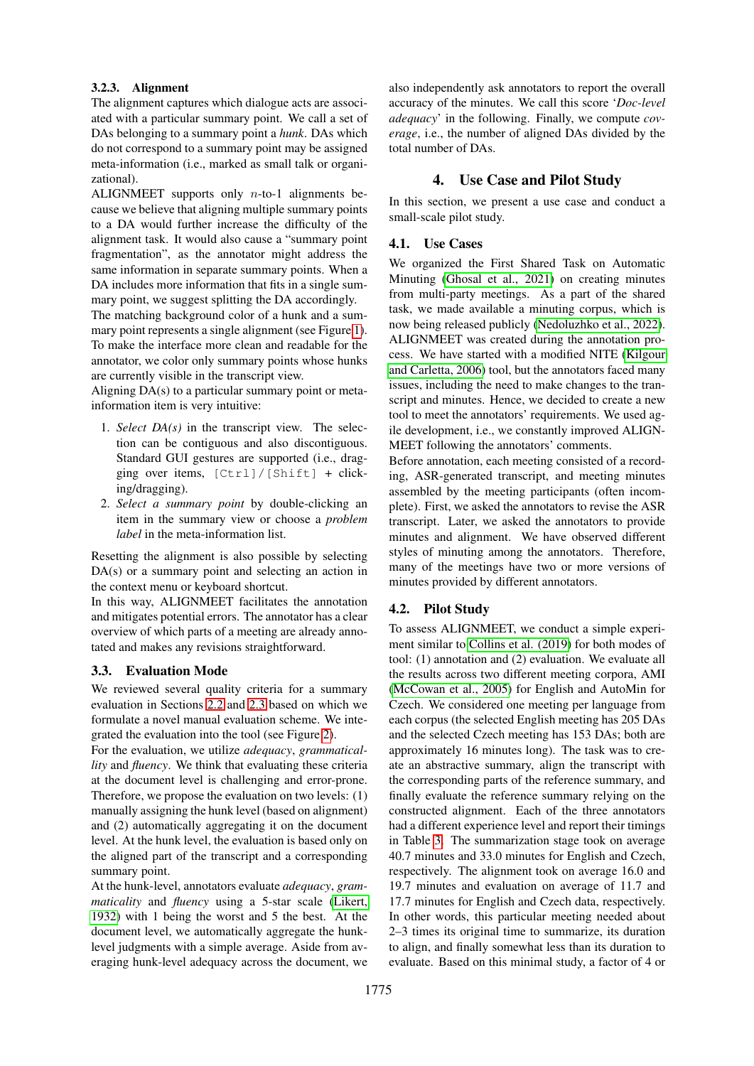#### 3.2.3. Alignment

The alignment captures which dialogue acts are associated with a particular summary point. We call a set of DAs belonging to a summary point a *hunk*. DAs which do not correspond to a summary point may be assigned meta-information (i.e., marked as small talk or organizational).

ALIGNMEET supports only  $n$ -to-1 alignments because we believe that aligning multiple summary points to a DA would further increase the difficulty of the alignment task. It would also cause a "summary point fragmentation", as the annotator might address the same information in separate summary points. When a DA includes more information that fits in a single summary point, we suggest splitting the DA accordingly.

The matching background color of a hunk and a summary point represents a single alignment (see Figure [1\)](#page-3-0). To make the interface more clean and readable for the annotator, we color only summary points whose hunks are currently visible in the transcript view.

Aligning DA(s) to a particular summary point or metainformation item is very intuitive:

- 1. *Select DA(s)* in the transcript view. The selection can be contiguous and also discontiguous. Standard GUI gestures are supported (i.e., dragging over items, [Ctrl]/[Shift] + clicking/dragging).
- 2. *Select a summary point* by double-clicking an item in the summary view or choose a *problem label* in the meta-information list.

Resetting the alignment is also possible by selecting DA(s) or a summary point and selecting an action in the context menu or keyboard shortcut.

In this way, ALIGNMEET facilitates the annotation and mitigates potential errors. The annotator has a clear overview of which parts of a meeting are already annotated and makes any revisions straightforward.

#### <span id="page-4-0"></span>3.3. Evaluation Mode

We reviewed several quality criteria for a summary evaluation in Sections [2.2](#page-1-2) and [2.3](#page-2-2) based on which we formulate a novel manual evaluation scheme. We integrated the evaluation into the tool (see Figure [2\)](#page-3-1).

For the evaluation, we utilize *adequacy*, *grammaticallity* and *fluency*. We think that evaluating these criteria at the document level is challenging and error-prone. Therefore, we propose the evaluation on two levels: (1) manually assigning the hunk level (based on alignment) and (2) automatically aggregating it on the document level. At the hunk level, the evaluation is based only on the aligned part of the transcript and a corresponding summary point.

At the hunk-level, annotators evaluate *adequacy*, *grammaticality* and *fluency* using a 5-star scale [\(Likert,](#page-6-23) [1932\)](#page-6-23) with 1 being the worst and 5 the best. At the document level, we automatically aggregate the hunklevel judgments with a simple average. Aside from averaging hunk-level adequacy across the document, we

also independently ask annotators to report the overall accuracy of the minutes. We call this score '*Doc-level adequacy*' in the following. Finally, we compute *coverage*, i.e., the number of aligned DAs divided by the total number of DAs.

### 4. Use Case and Pilot Study

In this section, we present a use case and conduct a small-scale pilot study.

### 4.1. Use Cases

We organized the First Shared Task on Automatic Minuting [\(Ghosal et al., 2021\)](#page-6-5) on creating minutes from multi-party meetings. As a part of the shared task, we made available a minuting corpus, which is now being released publicly [\(Nedoluzhko et al., 2022\)](#page-7-23). ALIGNMEET was created during the annotation process. We have started with a modified NITE [\(Kilgour](#page-6-8) [and Carletta, 2006\)](#page-6-8) tool, but the annotators faced many issues, including the need to make changes to the transcript and minutes. Hence, we decided to create a new tool to meet the annotators' requirements. We used agile development, i.e., we constantly improved ALIGN-MEET following the annotators' comments.

Before annotation, each meeting consisted of a recording, ASR-generated transcript, and meeting minutes assembled by the meeting participants (often incomplete). First, we asked the annotators to revise the ASR transcript. Later, we asked the annotators to provide minutes and alignment. We have observed different styles of minuting among the annotators. Therefore, many of the meetings have two or more versions of minutes provided by different annotators.

### 4.2. Pilot Study

To assess ALIGNMEET, we conduct a simple experiment similar to [Collins et al. \(2019\)](#page-5-4) for both modes of tool: (1) annotation and (2) evaluation. We evaluate all the results across two different meeting corpora, AMI [\(McCowan et al., 2005\)](#page-7-0) for English and AutoMin for Czech. We considered one meeting per language from each corpus (the selected English meeting has 205 DAs and the selected Czech meeting has 153 DAs; both are approximately 16 minutes long). The task was to create an abstractive summary, align the transcript with the corresponding parts of the reference summary, and finally evaluate the reference summary relying on the constructed alignment. Each of the three annotators had a different experience level and report their timings in Table [3.](#page-5-9) The summarization stage took on average 40.7 minutes and 33.0 minutes for English and Czech, respectively. The alignment took on average 16.0 and 19.7 minutes and evaluation on average of 11.7 and 17.7 minutes for English and Czech data, respectively. In other words, this particular meeting needed about 2–3 times its original time to summarize, its duration to align, and finally somewhat less than its duration to evaluate. Based on this minimal study, a factor of 4 or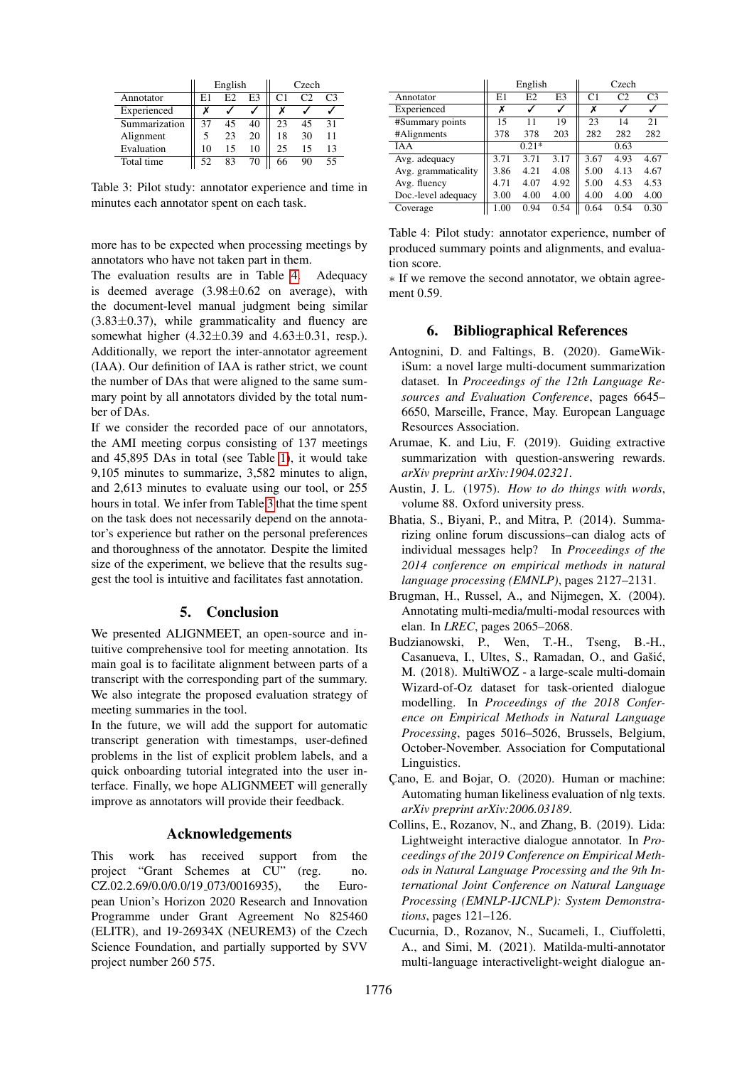|               |    | English |    | Czech          |               |                |  |
|---------------|----|---------|----|----------------|---------------|----------------|--|
| Annotator     | E1 | E2      | E3 | C <sub>1</sub> | $\mathcal{C}$ | C <sub>3</sub> |  |
| Experienced   |    |         |    |                |               |                |  |
| Summarization | 37 | 45      | 40 | 23             | 45            | 31             |  |
| Alignment     | 5  | 23      | 20 | 18             | 30            | 11             |  |
| Evaluation    | 10 | 15      | 10 | 25             | 15            | 13             |  |
| Total time    | 52 | 83      | 70 | 66             | 90            | 55             |  |

<span id="page-5-9"></span>Table 3: Pilot study: annotator experience and time in minutes each annotator spent on each task.

more has to be expected when processing meetings by annotators who have not taken part in them.

The evaluation results are in Table [4.](#page-5-10) Adequacy is deemed average  $(3.98\pm0.62)$  on average), with the document-level manual judgment being similar  $(3.83\pm0.37)$ , while grammaticality and fluency are somewhat higher  $(4.32 \pm 0.39)$  and  $4.63 \pm 0.31$ , resp.). Additionally, we report the inter-annotator agreement (IAA). Our definition of IAA is rather strict, we count the number of DAs that were aligned to the same summary point by all annotators divided by the total number of DAs.

If we consider the recorded pace of our annotators, the AMI meeting corpus consisting of 137 meetings and 45,895 DAs in total (see Table [1\)](#page-1-0), it would take 9,105 minutes to summarize, 3,582 minutes to align, and 2,613 minutes to evaluate using our tool, or 255 hours in total. We infer from Table [3](#page-5-9) that the time spent on the task does not necessarily depend on the annotator's experience but rather on the personal preferences and thoroughness of the annotator. Despite the limited size of the experiment, we believe that the results suggest the tool is intuitive and facilitates fast annotation.

### 5. Conclusion

We presented ALIGNMEET, an open-source and intuitive comprehensive tool for meeting annotation. Its main goal is to facilitate alignment between parts of a transcript with the corresponding part of the summary. We also integrate the proposed evaluation strategy of meeting summaries in the tool.

In the future, we will add the support for automatic transcript generation with timestamps, user-defined problems in the list of explicit problem labels, and a quick onboarding tutorial integrated into the user interface. Finally, we hope ALIGNMEET will generally improve as annotators will provide their feedback.

#### Acknowledgements

This work has received support from the project "Grant Schemes at CU" (reg. no. CZ.02.2.69/0.0/0.0/19 073/0016935), the European Union's Horizon 2020 Research and Innovation Programme under Grant Agreement No 825460 (ELITR), and 19-26934X (NEUREM3) of the Czech Science Foundation, and partially supported by SVV project number 260 575.

|                     |      | English |                | Czech          |                |                |  |
|---------------------|------|---------|----------------|----------------|----------------|----------------|--|
| Annotator           | E1   | E2      | E <sub>3</sub> | C <sub>1</sub> | C <sub>2</sub> | C <sub>3</sub> |  |
| Experienced         | Х    |         |                | х              |                |                |  |
| #Summary points     | 15   | 11      | 19             | 23             | 14             | 21             |  |
| #Alignments         | 378  | 378     | 203            | 282            | 282            | 282            |  |
| <b>IAA</b>          |      | $0.21*$ |                | 0.63           |                |                |  |
| Avg. adequacy       | 3.71 | 3.71    | 3.17           | 3.67           | 4.93           | 4.67           |  |
| Avg. grammaticality | 3.86 | 4.21    | 4.08           | 5.00           | 4.13           | 4.67           |  |
| Avg. fluency        | 4.71 | 4.07    | 4.92           | 5.00           | 4.53           | 4.53           |  |
| Doc.-level adequacy | 3.00 | 4.00    | 4.00           | 4.00           | 4.00           | 4.00           |  |
| Coverage            | 1.00 | 0.94    | 0.54           | 0.64           | 0.54           | 0.30           |  |

<span id="page-5-10"></span>Table 4: Pilot study: annotator experience, number of produced summary points and alignments, and evaluation score.

∗ If we remove the second annotator, we obtain agreement 0.59.

### 6. Bibliographical References

- <span id="page-5-0"></span>Antognini, D. and Faltings, B. (2020). GameWikiSum: a novel large multi-document summarization dataset. In *Proceedings of the 12th Language Resources and Evaluation Conference*, pages 6645– 6650, Marseille, France, May. European Language Resources Association.
- <span id="page-5-5"></span>Arumae, K. and Liu, F. (2019). Guiding extractive summarization with question-answering rewards. *arXiv preprint arXiv:1904.02321*.
- <span id="page-5-8"></span>Austin, J. L. (1975). *How to do things with words*, volume 88. Oxford university press.
- <span id="page-5-7"></span>Bhatia, S., Biyani, P., and Mitra, P. (2014). Summarizing online forum discussions–can dialog acts of individual messages help? In *Proceedings of the 2014 conference on empirical methods in natural language processing (EMNLP)*, pages 2127–2131.
- <span id="page-5-2"></span>Brugman, H., Russel, A., and Nijmegen, X. (2004). Annotating multi-media/multi-modal resources with elan. In *LREC*, pages 2065–2068.
- <span id="page-5-1"></span>Budzianowski, P., Wen, T.-H., Tseng, B.-H., Casanueva, I., Ultes, S., Ramadan, O., and Gašić, M. (2018). MultiWOZ - a large-scale multi-domain Wizard-of-Oz dataset for task-oriented dialogue modelling. In *Proceedings of the 2018 Conference on Empirical Methods in Natural Language Processing*, pages 5016–5026, Brussels, Belgium, October-November. Association for Computational Linguistics.
- <span id="page-5-6"></span>Çano, E. and Bojar, O. (2020). Human or machine: Automating human likeliness evaluation of nlg texts. *arXiv preprint arXiv:2006.03189*.
- <span id="page-5-4"></span>Collins, E., Rozanov, N., and Zhang, B. (2019). Lida: Lightweight interactive dialogue annotator. In *Proceedings of the 2019 Conference on Empirical Methods in Natural Language Processing and the 9th International Joint Conference on Natural Language Processing (EMNLP-IJCNLP): System Demonstrations*, pages 121–126.
- <span id="page-5-3"></span>Cucurnia, D., Rozanov, N., Sucameli, I., Ciuffoletti, A., and Simi, M. (2021). Matilda-multi-annotator multi-language interactivelight-weight dialogue an-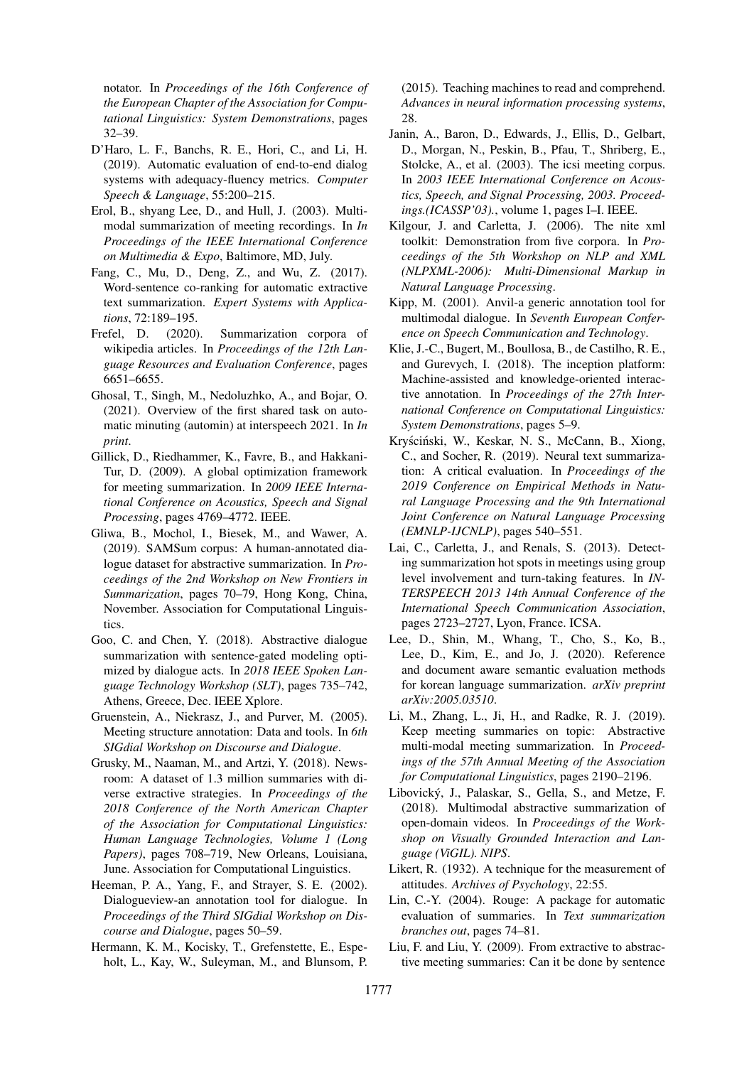notator. In *Proceedings of the 16th Conference of the European Chapter of the Association for Computational Linguistics: System Demonstrations*, pages 32–39.

- <span id="page-6-15"></span>D'Haro, L. F., Banchs, R. E., Hori, C., and Li, H. (2019). Automatic evaluation of end-to-end dialog systems with adequacy-fluency metrics. *Computer Speech & Language*, 55:200–215.
- <span id="page-6-18"></span>Erol, B., shyang Lee, D., and Hull, J. (2003). Multimodal summarization of meeting recordings. In *In Proceedings of the IEEE International Conference on Multimedia & Expo*, Baltimore, MD, July.
- <span id="page-6-17"></span>Fang, C., Mu, D., Deng, Z., and Wu, Z. (2017). Word-sentence co-ranking for automatic extractive text summarization. *Expert Systems with Applications*, 72:189–195.
- <span id="page-6-3"></span>Frefel, D. (2020). Summarization corpora of wikipedia articles. In *Proceedings of the 12th Language Resources and Evaluation Conference*, pages 6651–6655.
- <span id="page-6-5"></span>Ghosal, T., Singh, M., Nedoluzhko, A., and Bojar, O. (2021). Overview of the first shared task on automatic minuting (automin) at interspeech 2021. In *In print*.
- <span id="page-6-21"></span>Gillick, D., Riedhammer, K., Favre, B., and Hakkani-Tur, D. (2009). A global optimization framework for meeting summarization. In *2009 IEEE International Conference on Acoustics, Speech and Signal Processing*, pages 4769–4772. IEEE.
- <span id="page-6-6"></span>Gliwa, B., Mochol, I., Biesek, M., and Wawer, A. (2019). SAMSum corpus: A human-annotated dialogue dataset for abstractive summarization. In *Proceedings of the 2nd Workshop on New Frontiers in Summarization*, pages 70–79, Hong Kong, China, November. Association for Computational Linguistics.
- <span id="page-6-11"></span>Goo, C. and Chen, Y. (2018). Abstractive dialogue summarization with sentence-gated modeling optimized by dialogue acts. In *2018 IEEE Spoken Language Technology Workshop (SLT)*, pages 735–742, Athens, Greece, Dec. IEEE Xplore.
- <span id="page-6-10"></span>Gruenstein, A., Niekrasz, J., and Purver, M. (2005). Meeting structure annotation: Data and tools. In *6th SIGdial Workshop on Discourse and Dialogue*.
- <span id="page-6-1"></span>Grusky, M., Naaman, M., and Artzi, Y. (2018). Newsroom: A dataset of 1.3 million summaries with diverse extractive strategies. In *Proceedings of the 2018 Conference of the North American Chapter of the Association for Computational Linguistics: Human Language Technologies, Volume 1 (Long Papers)*, pages 708–719, New Orleans, Louisiana, June. Association for Computational Linguistics.
- <span id="page-6-4"></span>Heeman, P. A., Yang, F., and Strayer, S. E. (2002). Dialogueview-an annotation tool for dialogue. In *Proceedings of the Third SIGdial Workshop on Discourse and Dialogue*, pages 50–59.
- <span id="page-6-2"></span>Hermann, K. M., Kocisky, T., Grefenstette, E., Espeholt, L., Kay, W., Suleyman, M., and Blunsom, P.

(2015). Teaching machines to read and comprehend. *Advances in neural information processing systems*, 28.

- <span id="page-6-0"></span>Janin, A., Baron, D., Edwards, J., Ellis, D., Gelbart, D., Morgan, N., Peskin, B., Pfau, T., Shriberg, E., Stolcke, A., et al. (2003). The icsi meeting corpus. In *2003 IEEE International Conference on Acoustics, Speech, and Signal Processing, 2003. Proceedings.(ICASSP'03).*, volume 1, pages I–I. IEEE.
- <span id="page-6-8"></span>Kilgour, J. and Carletta, J. (2006). The nite xml toolkit: Demonstration from five corpora. In *Proceedings of the 5th Workshop on NLP and XML (NLPXML-2006): Multi-Dimensional Markup in Natural Language Processing*.
- <span id="page-6-9"></span>Kipp, M. (2001). Anvil-a generic annotation tool for multimodal dialogue. In *Seventh European Conference on Speech Communication and Technology*.
- <span id="page-6-7"></span>Klie, J.-C., Bugert, M., Boullosa, B., de Castilho, R. E., and Gurevych, I. (2018). The inception platform: Machine-assisted and knowledge-oriented interactive annotation. In *Proceedings of the 27th International Conference on Computational Linguistics: System Demonstrations*, pages 5–9.
- <span id="page-6-20"></span>Kryściński, W., Keskar, N. S., McCann, B., Xiong, C., and Socher, R. (2019). Neural text summarization: A critical evaluation. In *Proceedings of the 2019 Conference on Empirical Methods in Natural Language Processing and the 9th International Joint Conference on Natural Language Processing (EMNLP-IJCNLP)*, pages 540–551.
- <span id="page-6-12"></span>Lai, C., Carletta, J., and Renals, S. (2013). Detecting summarization hot spots in meetings using group level involvement and turn-taking features. In *IN-TERSPEECH 2013 14th Annual Conference of the International Speech Communication Association*, pages 2723–2727, Lyon, France. ICSA.
- <span id="page-6-19"></span>Lee, D., Shin, M., Whang, T., Cho, S., Ko, B., Lee, D., Kim, E., and Jo, J. (2020). Reference and document aware semantic evaluation methods for korean language summarization. *arXiv preprint arXiv:2005.03510*.
- <span id="page-6-22"></span>Li, M., Zhang, L., Ji, H., and Radke, R. J. (2019). Keep meeting summaries on topic: Abstractive multi-modal meeting summarization. In *Proceedings of the 57th Annual Meeting of the Association for Computational Linguistics*, pages 2190–2196.
- <span id="page-6-16"></span>Libovicky, J., Palaskar, S., Gella, S., and Metze, F. ´ (2018). Multimodal abstractive summarization of open-domain videos. In *Proceedings of the Workshop on Visually Grounded Interaction and Language (ViGIL). NIPS*.
- <span id="page-6-23"></span>Likert, R. (1932). A technique for the measurement of attitudes. *Archives of Psychology*, 22:55.
- <span id="page-6-13"></span>Lin, C.-Y. (2004). Rouge: A package for automatic evaluation of summaries. In *Text summarization branches out*, pages 74–81.
- <span id="page-6-14"></span>Liu, F. and Liu, Y. (2009). From extractive to abstractive meeting summaries: Can it be done by sentence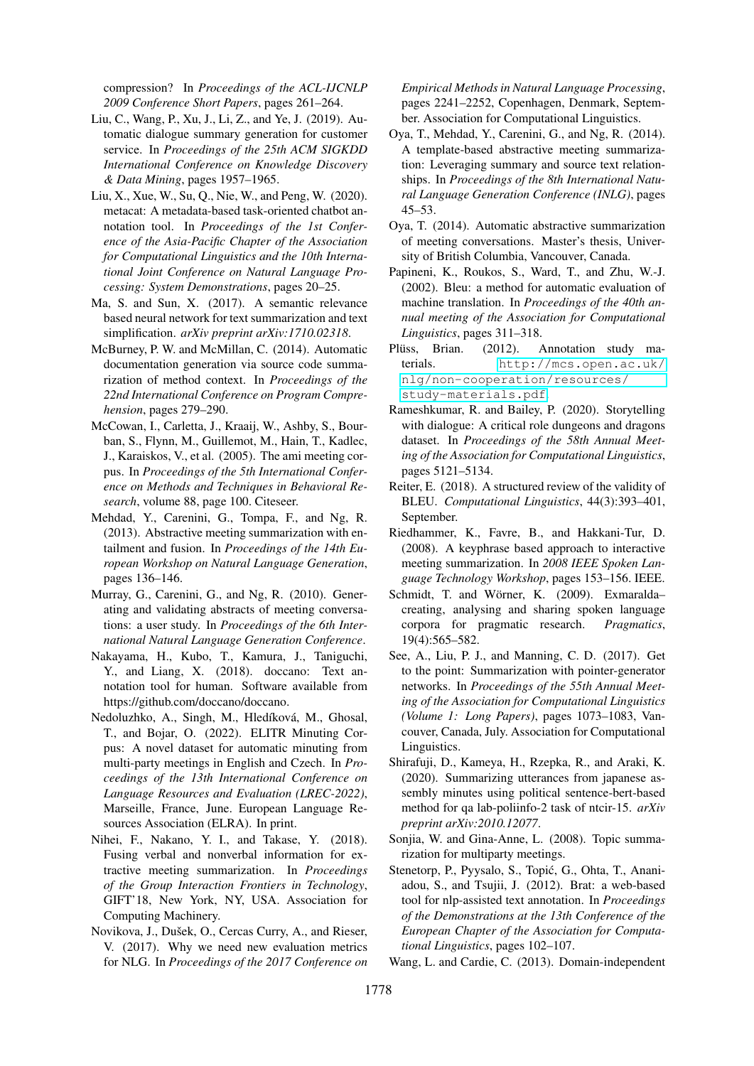compression? In *Proceedings of the ACL-IJCNLP 2009 Conference Short Papers*, pages 261–264.

- <span id="page-7-2"></span>Liu, C., Wang, P., Xu, J., Li, Z., and Ye, J. (2019). Automatic dialogue summary generation for customer service. In *Proceedings of the 25th ACM SIGKDD International Conference on Knowledge Discovery & Data Mining*, pages 1957–1965.
- <span id="page-7-4"></span>Liu, X., Xue, W., Su, Q., Nie, W., and Peng, W. (2020). metacat: A metadata-based task-oriented chatbot annotation tool. In *Proceedings of the 1st Conference of the Asia-Pacific Chapter of the Association for Computational Linguistics and the 10th International Joint Conference on Natural Language Processing: System Demonstrations*, pages 20–25.
- <span id="page-7-11"></span>Ma, S. and Sun, X. (2017). A semantic relevance based neural network for text summarization and text simplification. *arXiv preprint arXiv:1710.02318*.
- <span id="page-7-12"></span>McBurney, P. W. and McMillan, C. (2014). Automatic documentation generation via source code summarization of method context. In *Proceedings of the 22nd International Conference on Program Comprehension*, pages 279–290.
- <span id="page-7-0"></span>McCowan, I., Carletta, J., Kraaij, W., Ashby, S., Bourban, S., Flynn, M., Guillemot, M., Hain, T., Kadlec, J., Karaiskos, V., et al. (2005). The ami meeting corpus. In *Proceedings of the 5th International Conference on Methods and Techniques in Behavioral Research*, volume 88, page 100. Citeseer.
- <span id="page-7-10"></span>Mehdad, Y., Carenini, G., Tompa, F., and Ng, R. (2013). Abstractive meeting summarization with entailment and fusion. In *Proceedings of the 14th European Workshop on Natural Language Generation*, pages 136–146.
- <span id="page-7-14"></span>Murray, G., Carenini, G., and Ng, R. (2010). Generating and validating abstracts of meeting conversations: a user study. In *Proceedings of the 6th International Natural Language Generation Conference*.
- <span id="page-7-5"></span>Nakayama, H., Kubo, T., Kamura, J., Taniguchi, Y., and Liang, X. (2018). doccano: Text annotation tool for human. Software available from https://github.com/doccano/doccano.
- <span id="page-7-23"></span>Nedoluzhko, A., Singh, M., Hledíková, M., Ghosal, T., and Bojar, O. (2022). ELITR Minuting Corpus: A novel dataset for automatic minuting from multi-party meetings in English and Czech. In *Proceedings of the 13th International Conference on Language Resources and Evaluation (LREC-2022)*, Marseille, France, June. European Language Resources Association (ELRA). In print.
- <span id="page-7-8"></span>Nihei, F., Nakano, Y. I., and Takase, Y. (2018). Fusing verbal and nonverbal information for extractive meeting summarization. In *Proceedings of the Group Interaction Frontiers in Technology*, GIFT'18, New York, NY, USA. Association for Computing Machinery.
- <span id="page-7-21"></span>Novikova, J., Dušek, O., Cercas Curry, A., and Rieser, V. (2017). Why we need new evaluation metrics for NLG. In *Proceedings of the 2017 Conference on*

*Empirical Methods in Natural Language Processing*, pages 2241–2252, Copenhagen, Denmark, September. Association for Computational Linguistics.

- <span id="page-7-17"></span>Oya, T., Mehdad, Y., Carenini, G., and Ng, R. (2014). A template-based abstractive meeting summarization: Leveraging summary and source text relationships. In *Proceedings of the 8th International Natural Language Generation Conference (INLG)*, pages 45–53.
- <span id="page-7-15"></span>Oya, T. (2014). Automatic abstractive summarization of meeting conversations. Master's thesis, University of British Columbia, Vancouver, Canada.
- <span id="page-7-9"></span>Papineni, K., Roukos, S., Ward, T., and Zhu, W.-J. (2002). Bleu: a method for automatic evaluation of machine translation. In *Proceedings of the 40th annual meeting of the Association for Computational Linguistics*, pages 311–318.
- <span id="page-7-7"></span>Plüss, Brian. (2012). Annotation study materials. [http://mcs.open.ac.uk/](http://mcs.open.ac.uk/nlg/non-cooperation/resources/study-materials.pdf) [nlg/non-cooperation/resources/](http://mcs.open.ac.uk/nlg/non-cooperation/resources/study-materials.pdf) [study-materials.pdf](http://mcs.open.ac.uk/nlg/non-cooperation/resources/study-materials.pdf).
- <span id="page-7-1"></span>Rameshkumar, R. and Bailey, P. (2020). Storytelling with dialogue: A critical role dungeons and dragons dataset. In *Proceedings of the 58th Annual Meeting of the Association for Computational Linguistics*, pages 5121–5134.
- <span id="page-7-22"></span>Reiter, E. (2018). A structured review of the validity of BLEU. *Computational Linguistics*, 44(3):393–401, September.
- <span id="page-7-13"></span>Riedhammer, K., Favre, B., and Hakkani-Tur, D. (2008). A keyphrase based approach to interactive meeting summarization. In *2008 IEEE Spoken Language Technology Workshop*, pages 153–156. IEEE.
- <span id="page-7-3"></span>Schmidt, T. and Wörner, K. (2009). Exmaralda– creating, analysing and sharing spoken language corpora for pragmatic research. *Pragmatics*, 19(4):565–582.
- <span id="page-7-20"></span>See, A., Liu, P. J., and Manning, C. D. (2017). Get to the point: Summarization with pointer-generator networks. In *Proceedings of the 55th Annual Meeting of the Association for Computational Linguistics (Volume 1: Long Papers)*, pages 1073–1083, Vancouver, Canada, July. Association for Computational Linguistics.
- <span id="page-7-19"></span>Shirafuji, D., Kameya, H., Rzepka, R., and Araki, K. (2020). Summarizing utterances from japanese assembly minutes using political sentence-bert-based method for qa lab-poliinfo-2 task of ntcir-15. *arXiv preprint arXiv:2010.12077*.
- <span id="page-7-18"></span>Soniia, W. and Gina-Anne, L. (2008). Topic summarization for multiparty meetings.
- <span id="page-7-6"></span>Stenetorp, P., Pyysalo, S., Topić, G., Ohta, T., Ananiadou, S., and Tsujii, J. (2012). Brat: a web-based tool for nlp-assisted text annotation. In *Proceedings of the Demonstrations at the 13th Conference of the European Chapter of the Association for Computational Linguistics*, pages 102–107.
- <span id="page-7-16"></span>Wang, L. and Cardie, C. (2013). Domain-independent